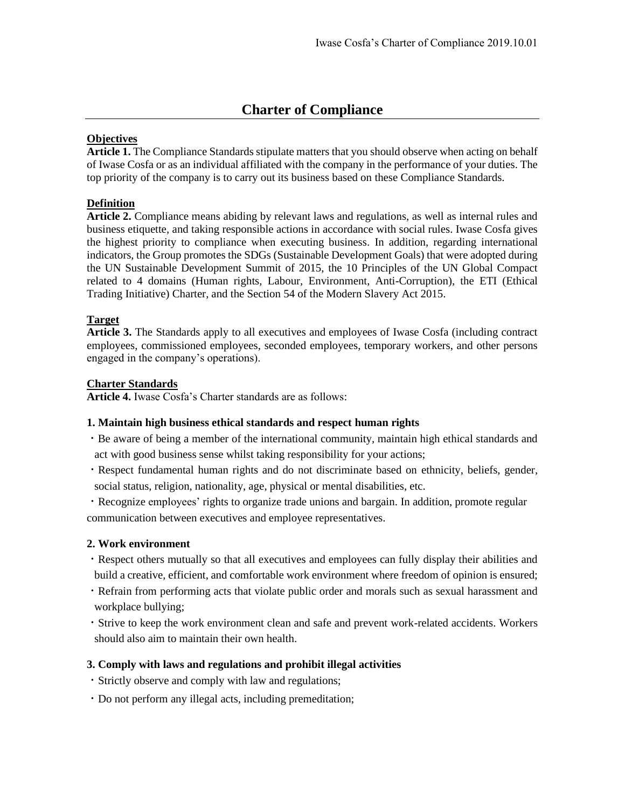# **Charter of Compliance**

## **Objectives**

**Article 1.** The Compliance Standards stipulate matters that you should observe when acting on behalf of Iwase Cosfa or as an individual affiliated with the company in the performance of your duties. The top priority of the company is to carry out its business based on these Compliance Standards.

## **Definition**

**Article 2.** Compliance means abiding by relevant laws and regulations, as well as internal rules and business etiquette, and taking responsible actions in accordance with social rules. Iwase Cosfa gives the highest priority to compliance when executing business. In addition, regarding international indicators, the Group promotes the SDGs (Sustainable Development Goals) that were adopted during the UN Sustainable Development Summit of 2015, the 10 Principles of the UN Global Compact related to 4 domains (Human rights, Labour, Environment, Anti-Corruption), the ETI (Ethical Trading Initiative) Charter, and the Section 54 of the Modern Slavery Act 2015.

# **Target**

**Article 3.** The Standards apply to all executives and employees of Iwase Cosfa (including contract employees, commissioned employees, seconded employees, temporary workers, and other persons engaged in the company's operations).

## **Charter Standards**

**Article 4.** Iwase Cosfa's Charter standards are as follows:

## **1. Maintain high business ethical standards and respect human rights**

- ・Be aware of being a member of the international community, maintain high ethical standards and act with good business sense whilst taking responsibility for your actions;
- ・Respect fundamental human rights and do not discriminate based on ethnicity, beliefs, gender, social status, religion, nationality, age, physical or mental disabilities, etc.

・Recognize employees' rights to organize trade unions and bargain. In addition, promote regular communication between executives and employee representatives.

## **2. Work environment**

- ・Respect others mutually so that all executives and employees can fully display their abilities and build a creative, efficient, and comfortable work environment where freedom of opinion is ensured;
- ・Refrain from performing acts that violate public order and morals such as sexual harassment and workplace bullying;
- ・Strive to keep the work environment clean and safe and prevent work-related accidents. Workers should also aim to maintain their own health.

## **3. Comply with laws and regulations and prohibit illegal activities**

- ・Strictly observe and comply with law and regulations;
- ・Do not perform any illegal acts, including premeditation;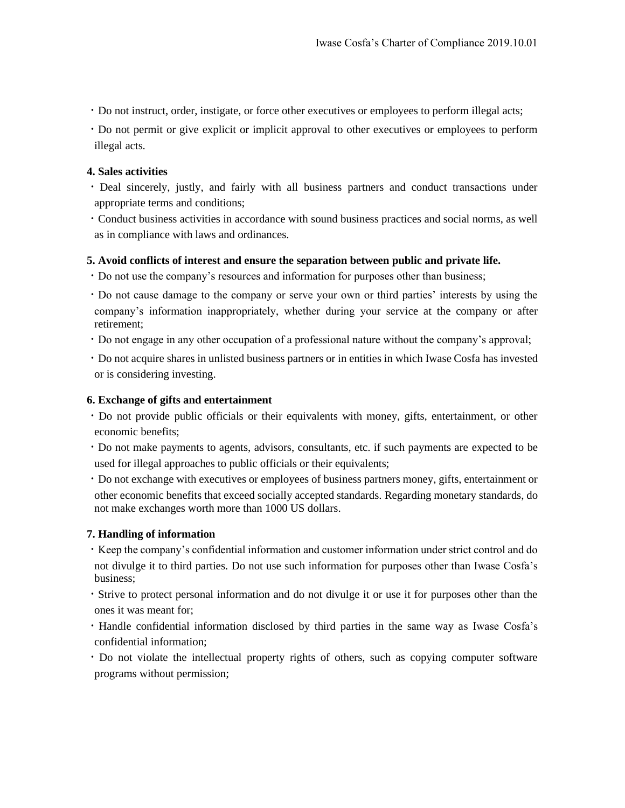・Do not instruct, order, instigate, or force other executives or employees to perform illegal acts;

・Do not permit or give explicit or implicit approval to other executives or employees to perform illegal acts.

#### **4. Sales activities**

・Deal sincerely, justly, and fairly with all business partners and conduct transactions under appropriate terms and conditions;

・Conduct business activities in accordance with sound business practices and social norms, as well as in compliance with laws and ordinances.

#### **5. Avoid conflicts of interest and ensure the separation between public and private life.**

- ・Do not use the company's resources and information for purposes other than business;
- ・Do not cause damage to the company or serve your own or third parties' interests by using the company's information inappropriately, whether during your service at the company or after retirement;
- ・Do not engage in any other occupation of a professional nature without the company's approval;

・Do not acquire shares in unlisted business partners or in entities in which Iwase Cosfa has invested or is considering investing.

#### **6. Exchange of gifts and entertainment**

- ・Do not provide public officials or their equivalents with money, gifts, entertainment, or other economic benefits;
- ・Do not make payments to agents, advisors, consultants, etc. if such payments are expected to be used for illegal approaches to public officials or their equivalents;

・Do not exchange with executives or employees of business partners money, gifts, entertainment or other economic benefits that exceed socially accepted standards. Regarding monetary standards, do not make exchanges worth more than 1000 US dollars.

#### **7. Handling of information**

・Keep the company's confidential information and customer information under strict control and do not divulge it to third parties. Do not use such information for purposes other than Iwase Cosfa's business;

・Strive to protect personal information and do not divulge it or use it for purposes other than the ones it was meant for;

・Handle confidential information disclosed by third parties in the same way as Iwase Cosfa's confidential information;

・Do not violate the intellectual property rights of others, such as copying computer software programs without permission;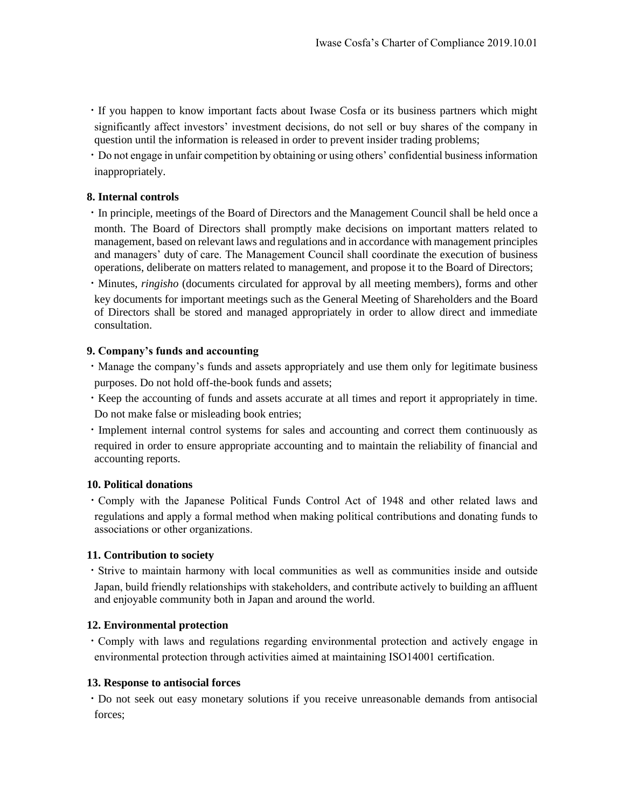・If you happen to know important facts about Iwase Cosfa or its business partners which might significantly affect investors' investment decisions, do not sell or buy shares of the company in question until the information is released in order to prevent insider trading problems;

・Do not engage in unfair competition by obtaining or using others' confidential business information inappropriately.

## **8. Internal controls**

・In principle, meetings of the Board of Directors and the Management Council shall be held once a month. The Board of Directors shall promptly make decisions on important matters related to management, based on relevant laws and regulations and in accordance with management principles and managers' duty of care. The Management Council shall coordinate the execution of business operations, deliberate on matters related to management, and propose it to the Board of Directors;

・Minutes, *ringisho* (documents circulated for approval by all meeting members), forms and other key documents for important meetings such as the General Meeting of Shareholders and the Board of Directors shall be stored and managed appropriately in order to allow direct and immediate consultation.

#### **9. Company's funds and accounting**

・Manage the company's funds and assets appropriately and use them only for legitimate business purposes. Do not hold off-the-book funds and assets;

・Keep the accounting of funds and assets accurate at all times and report it appropriately in time. Do not make false or misleading book entries;

・Implement internal control systems for sales and accounting and correct them continuously as required in order to ensure appropriate accounting and to maintain the reliability of financial and accounting reports.

#### **10. Political donations**

・Comply with the Japanese Political Funds Control Act of 1948 and other related laws and regulations and apply a formal method when making political contributions and donating funds to associations or other organizations.

#### **11. Contribution to society**

・Strive to maintain harmony with local communities as well as communities inside and outside Japan, build friendly relationships with stakeholders, and contribute actively to building an affluent and enjoyable community both in Japan and around the world.

#### **12. Environmental protection**

・Comply with laws and regulations regarding environmental protection and actively engage in environmental protection through activities aimed at maintaining ISO14001 certification.

#### **13. Response to antisocial forces**

・Do not seek out easy monetary solutions if you receive unreasonable demands from antisocial forces;